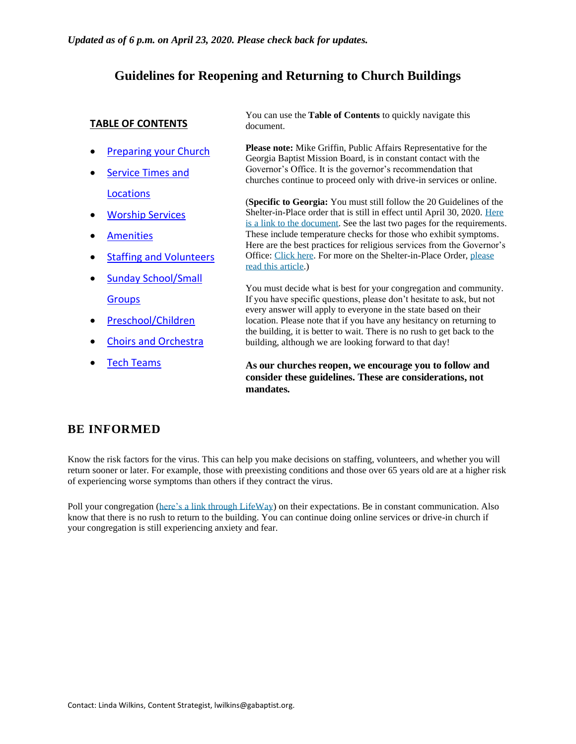#### **Guidelines for Reopening and Returning to Church Buildings**

#### **TABLE OF CONTENTS**

- [Preparing your Church](#page-0-0)
- [Service Times and](#page-1-0)  [Locations](#page-1-0)
- [Worship Services](#page-2-0)
- **[Amenities](#page-3-0)**
- [Staffing and Volunteers](#page-4-0)
- [Sunday School/Small](#page-5-0)  **[Groups](#page-5-0)**
- [Preschool/Children](#page-6-0)
- [Choirs and Orchestra](#page-7-0)
- [Tech Teams](#page-8-0)

You can use the **Table of Contents** to quickly navigate this document.

**Please note:** Mike Griffin, Public Affairs Representative for the Georgia Baptist Mission Board, is in constant contact with the Governor's Office. It is the governor's recommendation that churches continue to proceed only with drive-in services or online.

(**Specific to Georgia:** You must still follow the 20 Guidelines of the Shelter-in-Place order that is still in effect until April 30, 2020. [Here](https://gabaptist.egnyte.com/dl/CRNwW2gv8m/) is a link to the [document.](https://gabaptist.egnyte.com/dl/CRNwW2gv8m/) See the last two pages for the requirements. These include temperature checks for those who exhibit symptoms. Here are the best practices for religious services from the Governor's Office: [Click](https://gov.georgia.gov/document/2020-proclamation/executive-order-04202001-handout/download) here. For more on the Shelter-in-Place Order, [please](https://gabaptist.org/shelter-in-place-coronavirus/) read this article.)

You must decide what is best for your congregation and community. If you have specific questions, please don't hesitate to ask, but not every answer will apply to everyone in the state based on their location. Please note that if you have any hesitancy on returning to the building, it is better to wait. There is no rush to get back to the building, although we are looking forward to that day!

**As our churches reopen, we encourage you to follow and consider these guidelines. These are considerations, not mandates.**

#### **BE INFORMED**

Know the risk factors for the virus. This can help you make decisions on staffing, volunteers, and whether you will return sooner or later. For example, those with preexisting conditions and those over 65 years old are at a higher risk of experiencing worse symptoms than others if they contract the virus.

<span id="page-0-0"></span>Poll your congregation (here's a link through [LifeWay\)](https://factsandtrends.net/2020/04/22/what-your-church-must-know-before-reopening-your-building/) on their expectations. Be in constant communication. Also know that there is no rush to return to the building. You can continue doing online services or drive-in church if your congregation is still experiencing anxiety and fear.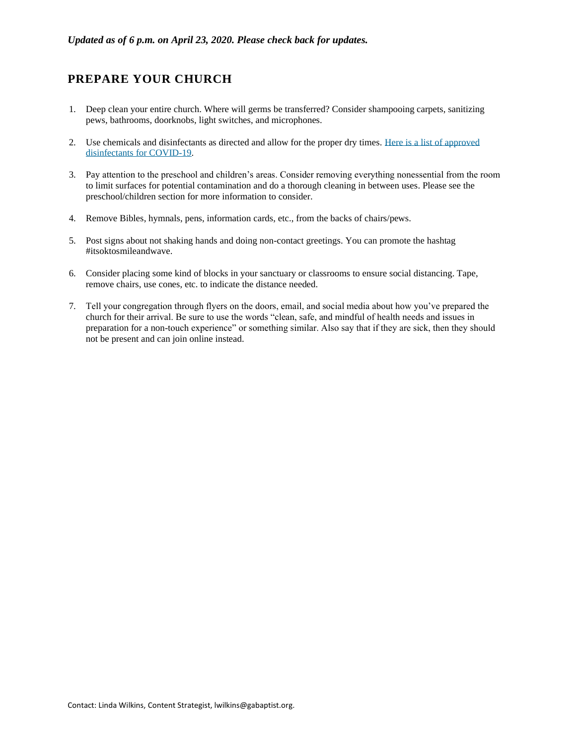### **PREPARE YOUR CHURCH**

- 1. Deep clean your entire church. Where will germs be transferred? Consider shampooing carpets, sanitizing pews, bathrooms, doorknobs, light switches, and microphones.
- 2. Use chemicals and disinfectants as directed and allow for the proper dry times. Here is a list of [approved](https://www.cdc.gov/coronavirus/2019-ncov/community/organizations/cleaning-disinfection.html) [disinfectants](https://www.cdc.gov/coronavirus/2019-ncov/community/organizations/cleaning-disinfection.html) for COVID-19.
- 3. Pay attention to the preschool and children's areas. Consider removing everything nonessential from the room to limit surfaces for potential contamination and do a thorough cleaning in between uses. Please see the preschool/children section for more information to consider.
- 4. Remove Bibles, hymnals, pens, information cards, etc., from the backs of chairs/pews.
- 5. Post signs about not shaking hands and doing non-contact greetings. You can promote the hashtag #itsoktosmileandwave.
- 6. Consider placing some kind of blocks in your sanctuary or classrooms to ensure social distancing. Tape, remove chairs, use cones, etc. to indicate the distance needed.
- <span id="page-1-0"></span>7. Tell your congregation through flyers on the doors, email, and social media about how you've prepared the church for their arrival. Be sure to use the words "clean, safe, and mindful of health needs and issues in preparation for a non-touch experience" or something similar. Also say that if they are sick, then they should not be present and can join online instead.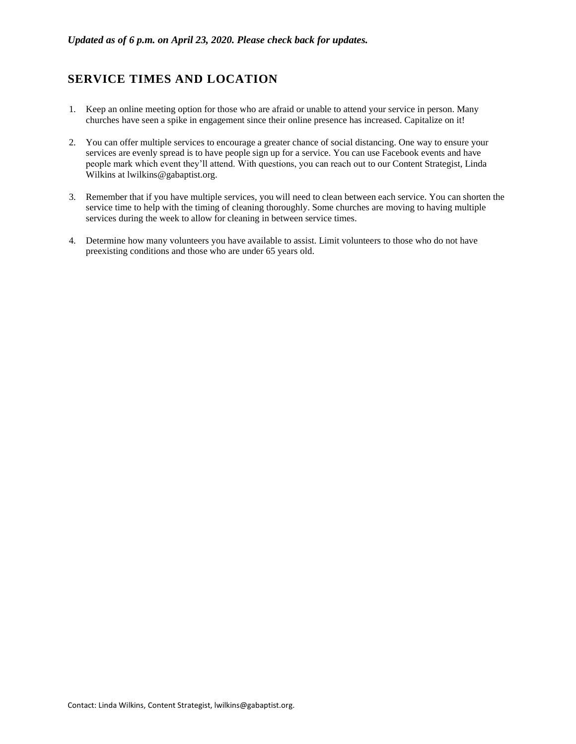### **SERVICE TIMES AND LOCATION**

- 1. Keep an online meeting option for those who are afraid or unable to attend your service in person. Many churches have seen a spike in engagement since their online presence has increased. Capitalize on it!
- 2. You can offer multiple services to encourage a greater chance of social distancing. One way to ensure your services are evenly spread is to have people sign up for a service. You can use Facebook events and have people mark which event they'll attend. With questions, you can reach out to our Content Strategist, Linda Wilkins at lwilkins@gabaptist.org.
- 3. Remember that if you have multiple services, you will need to clean between each service. You can shorten the service time to help with the timing of cleaning thoroughly. Some churches are moving to having multiple services during the week to allow for cleaning in between service times.
- <span id="page-2-0"></span>4. Determine how many volunteers you have available to assist. Limit volunteers to those who do not have preexisting conditions and those who are under 65 years old.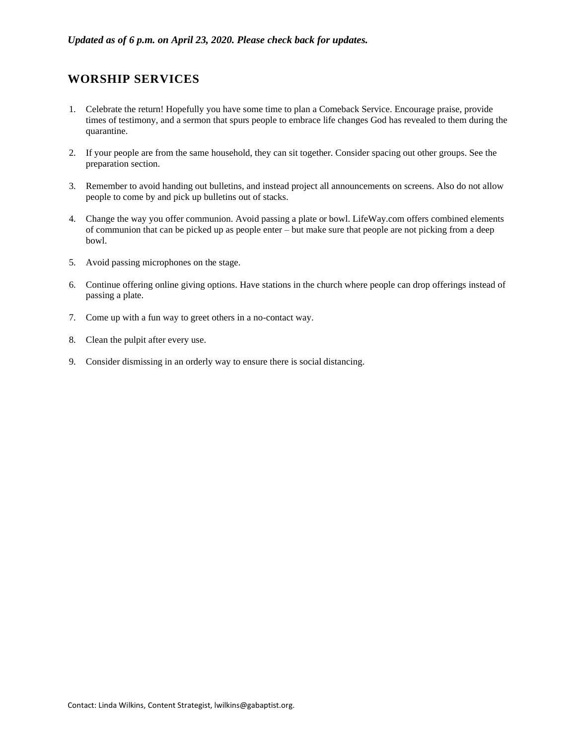#### **WORSHIP SERVICES**

- 1. Celebrate the return! Hopefully you have some time to plan a Comeback Service. Encourage praise, provide times of testimony, and a sermon that spurs people to embrace life changes God has revealed to them during the quarantine.
- 2. If your people are from the same household, they can sit together. Consider spacing out other groups. See the preparation section.
- 3. Remember to avoid handing out bulletins, and instead project all announcements on screens. Also do not allow people to come by and pick up bulletins out of stacks.
- 4. Change the way you offer communion. Avoid passing a plate or bowl. LifeWay.com offers combined elements of communion that can be picked up as people enter – but make sure that people are not picking from a deep bowl.
- 5. Avoid passing microphones on the stage.
- 6. Continue offering online giving options. Have stations in the church where people can drop offerings instead of passing a plate.
- 7. Come up with a fun way to greet others in a no-contact way.
- 8. Clean the pulpit after every use.
- <span id="page-3-0"></span>9. Consider dismissing in an orderly way to ensure there is social distancing.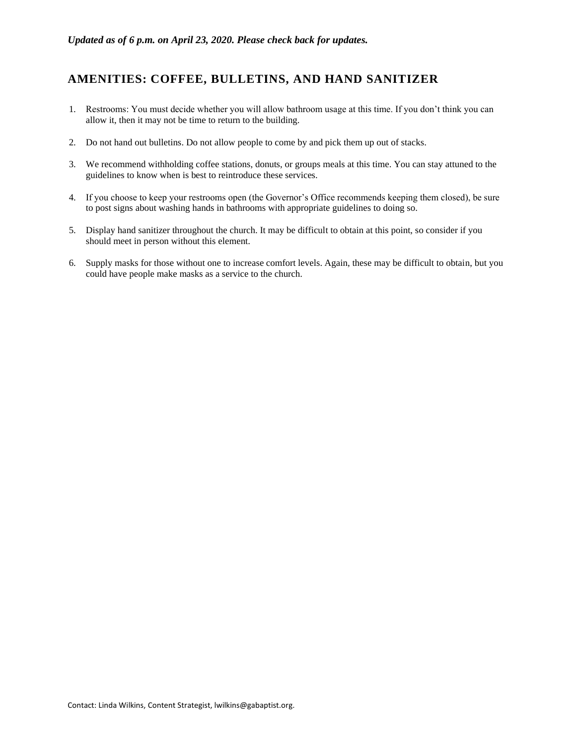### **AMENITIES: COFFEE, BULLETINS, AND HAND SANITIZER**

- 1. Restrooms: You must decide whether you will allow bathroom usage at this time. If you don't think you can allow it, then it may not be time to return to the building.
- 2. Do not hand out bulletins. Do not allow people to come by and pick them up out of stacks.
- 3. We recommend withholding coffee stations, donuts, or groups meals at this time. You can stay attuned to the guidelines to know when is best to reintroduce these services.
- 4. If you choose to keep your restrooms open (the Governor's Office recommends keeping them closed), be sure to post signs about washing hands in bathrooms with appropriate guidelines to doing so.
- 5. Display hand sanitizer throughout the church. It may be difficult to obtain at this point, so consider if you should meet in person without this element.
- <span id="page-4-0"></span>6. Supply masks for those without one to increase comfort levels. Again, these may be difficult to obtain, but you could have people make masks as a service to the church.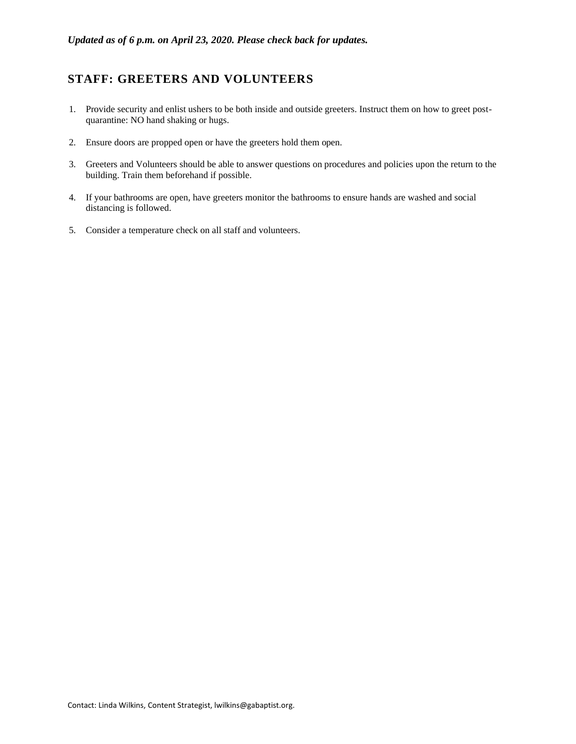# **STAFF: GREETERS AND VOLUNTEERS**

- 1. Provide security and enlist ushers to be both inside and outside greeters. Instruct them on how to greet postquarantine: NO hand shaking or hugs.
- 2. Ensure doors are propped open or have the greeters hold them open.
- 3. Greeters and Volunteers should be able to answer questions on procedures and policies upon the return to the building. Train them beforehand if possible.
- 4. If your bathrooms are open, have greeters monitor the bathrooms to ensure hands are washed and social distancing is followed.
- <span id="page-5-0"></span>5. Consider a temperature check on all staff and volunteers.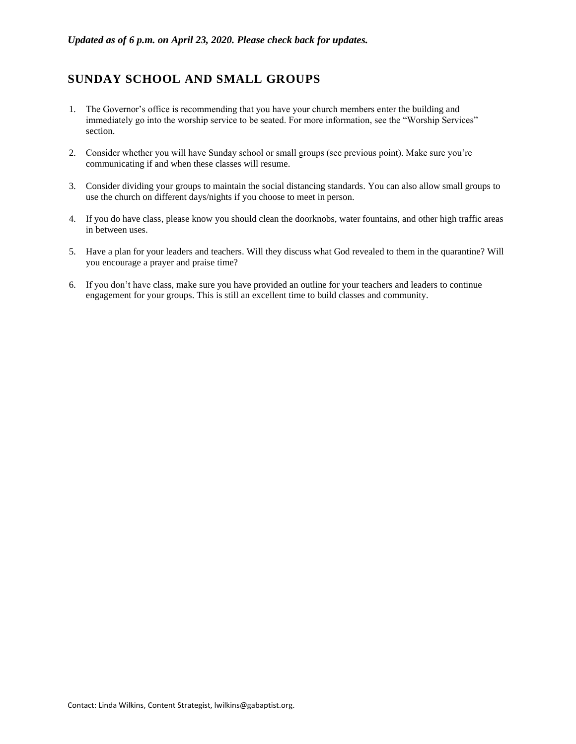## **SUNDAY SCHOOL AND SMALL GROUPS**

- 1. The Governor's office is recommending that you have your church members enter the building and immediately go into the worship service to be seated. For more information, see the "Worship Services" section.
- 2. Consider whether you will have Sunday school or small groups (see previous point). Make sure you're communicating if and when these classes will resume.
- 3. Consider dividing your groups to maintain the social distancing standards. You can also allow small groups to use the church on different days/nights if you choose to meet in person.
- 4. If you do have class, please know you should clean the doorknobs, water fountains, and other high traffic areas in between uses.
- 5. Have a plan for your leaders and teachers. Will they discuss what God revealed to them in the quarantine? Will you encourage a prayer and praise time?
- <span id="page-6-0"></span>6. If you don't have class, make sure you have provided an outline for your teachers and leaders to continue engagement for your groups. This is still an excellent time to build classes and community.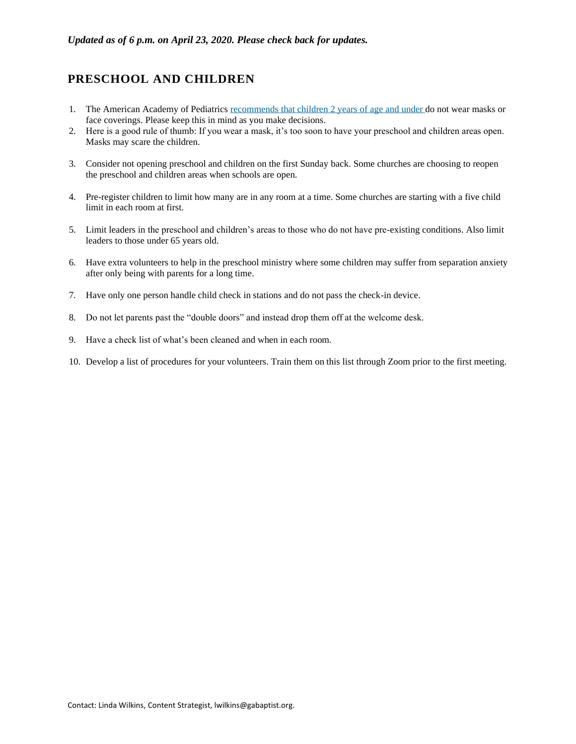#### **PRESCHOOL AND CHILDREN**

- 1. The American Academy of Pediatrics [recommends](https://www.healthychildren.org/English/health-issues/conditions/chest-lungs/Pages/Cloth-Face-Coverings-for-Children-During-COVID-19.aspx) that children 2 years of age and under do not wear masks or face coverings. Please keep this in mind as you make decisions.
- 2. Here is a good rule of thumb: If you wear a mask, it's too soon to have your preschool and children areas open. Masks may scare the children.
- 3. Consider not opening preschool and children on the first Sunday back. Some churches are choosing to reopen the preschool and children areas when schools are open.
- 4. Pre-register children to limit how many are in any room at a time. Some churches are starting with a five child limit in each room at first.
- 5. Limit leaders in the preschool and children's areas to those who do not have pre-existing conditions. Also limit leaders to those under 65 years old.
- 6. Have extra volunteers to help in the preschool ministry where some children may suffer from separation anxiety after only being with parents for a long time.
- 7. Have only one person handle child check in stations and do not pass the check-in device.
- 8. Do not let parents past the "double doors" and instead drop them off at the welcome desk.
- 9. Have a check list of what's been cleaned and when in each room.
- <span id="page-7-0"></span>10. Develop a list of procedures for your volunteers. Train them on this list through Zoom prior to the first meeting.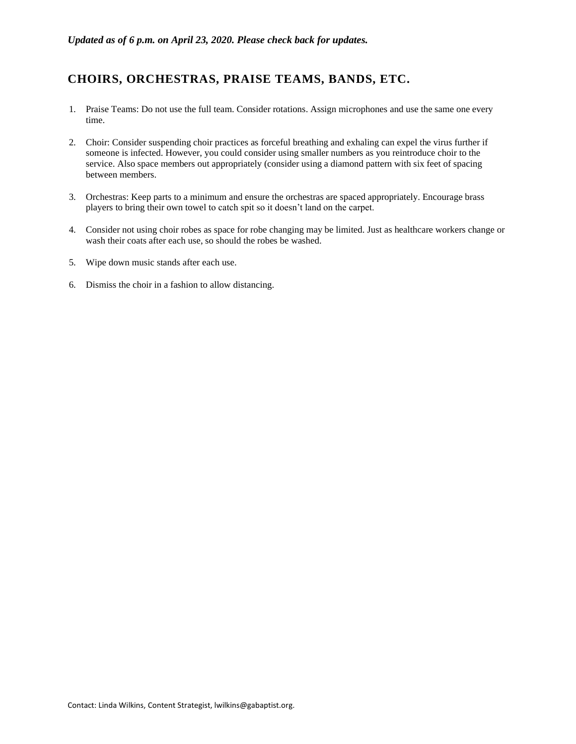### **CHOIRS, ORCHESTRAS, PRAISE TEAMS, BANDS, ETC.**

- 1. Praise Teams: Do not use the full team. Consider rotations. Assign microphones and use the same one every time.
- 2. Choir: Consider suspending choir practices as forceful breathing and exhaling can expel the virus further if someone is infected. However, you could consider using smaller numbers as you reintroduce choir to the service. Also space members out appropriately (consider using a diamond pattern with six feet of spacing between members.
- 3. Orchestras: Keep parts to a minimum and ensure the orchestras are spaced appropriately. Encourage brass players to bring their own towel to catch spit so it doesn't land on the carpet.
- 4. Consider not using choir robes as space for robe changing may be limited. Just as healthcare workers change or wash their coats after each use, so should the robes be washed.
- 5. Wipe down music stands after each use.
- <span id="page-8-0"></span>6. Dismiss the choir in a fashion to allow distancing.